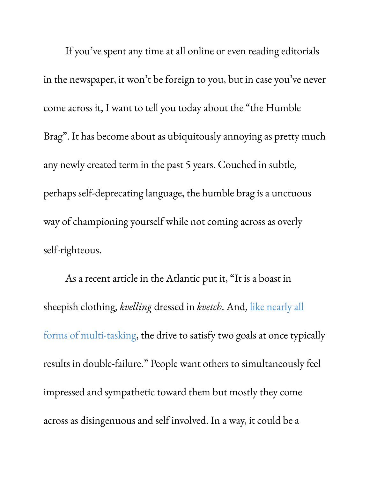If you ' ve spent any time at all online or even reading editorials in the newspaper, it won't be foreign to you, but in case you've never come across it, I want to tell you today about the "the Humble Brag ". It has become about as ubiquitously annoying as pretty much any newly created term in the past 5 years. Couched in subtle, perhaps self-deprecating language, the humble brag is a unctuous way of championing yourself while not coming across as overly self-righteous.

As a recent article in the Atlantic put it, "It is a boast in sheepish clothing, *kvelling* dressed in *kvetch*. And, like [nearly](http://www.theatlantic.com/business/archive/2011/11/if-multitasking-is-impossible-why-are-some-people-so-good-at-it/248648/) all forms of [multi-tasking](http://www.theatlantic.com/business/archive/2011/11/if-multitasking-is-impossible-why-are-some-people-so-good-at-it/248648/), the drive to satisfy two goals at once typically results in double-failure." People want others to simultaneously feel impressed and sympathetic toward them but mostly they come across as disingenuous and self involved. In a way, it could be a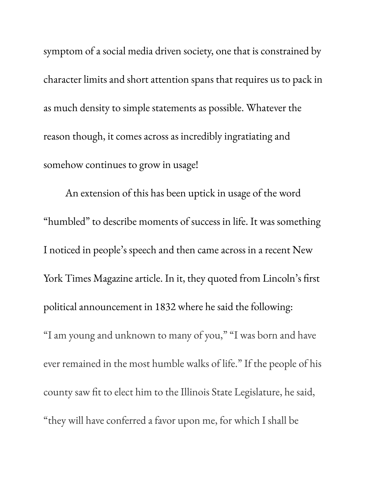symptom of a social media driven society, one that is constrained by character limits and short attention spans that requires us to pack in as much density to simple statements as possible. Whatever the reason though, it comes across as incredibly ingratiating and somehow continues to grow in usage!

An extension of this has been uptick in usage of the word "humbled" to describe moments of success in life. It was something I noticed in people ' s speech and then came across in a recent New York Times Magazine article. In it, they quoted from Lincoln' s first political announcement in 1832 where he said the following: "I am young and unknown to many of you, " "I was born and have ever remained in the most humble walks of life." If the people of his county saw fit to elect him to the Illinois State Legislature, he said, "they will have conferred a favor upon me, for which I shall be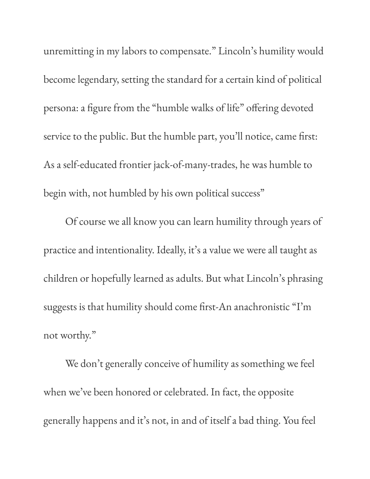unremitting in my labors to compensate." Lincoln' s humility would become legendary, setting the standard for a certain kind of political persona: a figure from the "humble walks of life " offering devoted service to the public. But the humble part, you 'll notice, came first: As a self-educated frontier jack-of-many-trades, he was humble to begin with, not humbled by his own political success "

Of course we all know you can learn humility through years of practice and intentionality. Ideally, it' s a value we were all taught as children or hopefully learned as adults. But what Lincoln' s phrasing suggests is that humility should come first-An anachronistic "I'm not worthy."

We don't generally conceive of humility as something we feel when we ' ve been honored or celebrated. In fact, the opposite generally happens and it' s not, in and of itself a bad thing. You feel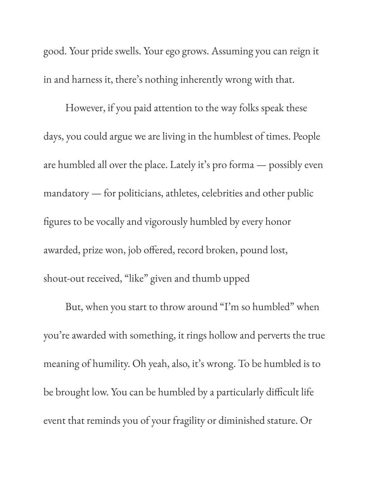good. Your pride swells. Your ego grows. Assuming you can reign it in and harness it, there ' s nothing inherently wrong with that.

However, if you paid attention to the way folks speak these days, you could argue we are living in the humblest of times. People are humbled all over the place. Lately it' s pro forma — possibly even mandatory — for politicians, athletes, celebrities and other public figures to be vocally and vigorously humbled by every honor awarded, prize won, job offered, record broken, pound lost, shout-out received, "like " given and thumb upped

But, when you start to throw around "I'm so humbled" when you 're awarded with something, it rings hollow and perverts the true meaning of humility. Oh yeah, also, it' s wrong. To be humbled is to be brought low. You can be humbled by a particularly difficult life event that reminds you of your fragility or diminished stature. Or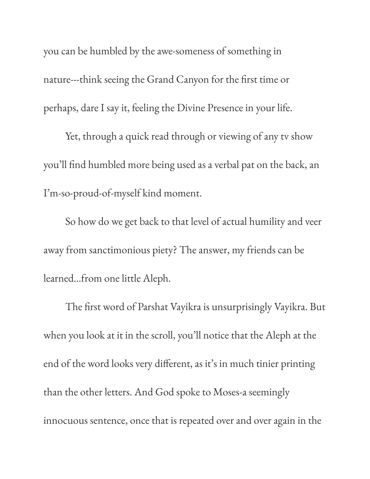you can be humbled by the awe-someness of something in nature---think seeing the Grand Canyon for the first time or perhaps, dare I say it, feeling the Divine Presence in your life.

Yet, through a quick read through or viewing of any tv show you 'll find humbled more being used as a verbal pat on the back, an I'm-so-proud-of-myself kind moment.

So how do we get back to that level of actual humility and veer away from sanctimonious piety? The answer, my friends can be learned...from one little Aleph.

The first word of Parshat Vayikra is unsurprisingly Vayikra. But when you look at it in the scroll, you 'll notice that the Aleph at the end of the word looks very different, as it' s in much tinier printing than the other letters. And God spoke to Moses-a seemingly innocuous sentence, once that is repeated over and over again in the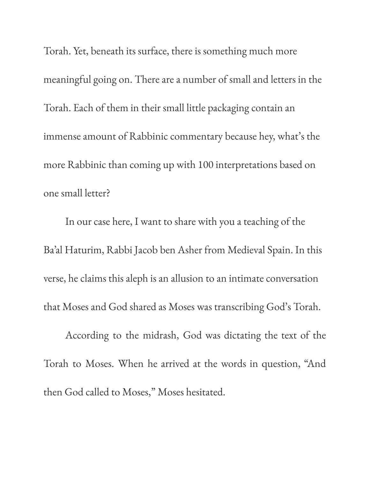Torah. Yet, beneath its surface, there is something much more meaningful going on. There are a number of small and letters in the Torah. Each of them in their small little packaging contain an immense amount of Rabbinic commentary because hey, what' s the more Rabbinic than coming up with 100 interpretations based on one small letter?

In our case here, I want to share with you a teaching of the Ba ' al Haturim, Rabbi Jacob ben Asher from Medieval Spain. In this verse, he claims this aleph is an allusion to an intimate conversation that Moses and God shared as Moses was transcribing God' s Torah.

According to the midrash, God was dictating the text of the Torah to Moses. When he arrived at the words in question, "And then God called to Moses, " Moses hesitated.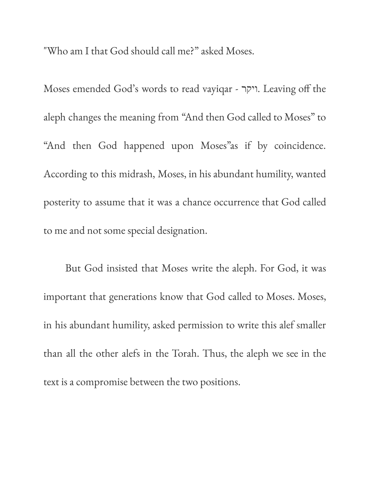"Who am I that God should call me?" asked Moses.

Moses emended God' s words to read vayiqar - ויקר. Leaving off the aleph changes the meaning from "And then God called to Moses " to "And then God happened upon Moses" as if by coincidence. According to this midrash, Moses, in his abundant humility, wanted posterity to assume that it was a chance occurrence that God called to me and not some special designation.

But God insisted that Moses write the aleph. For God, it was important that generations know that God called to Moses. Moses, in his abundant humility, asked permission to write this alef smaller than all the other alefs in the Torah. Thus, the aleph we see in the text is a compromise between the two positions.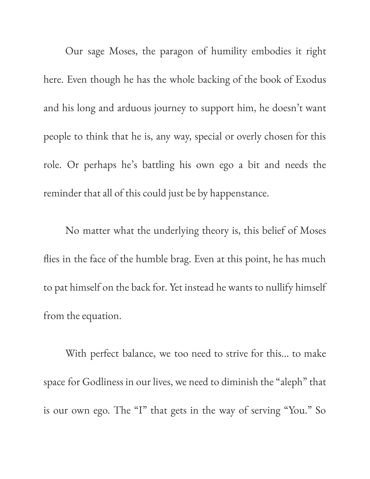Our sage Moses, the paragon of humility embodies it right here. Even though he has the whole backing of the book of Exodus and his long and arduous journey to support him, he doesn't want people to think that he is, any way, special or overly chosen for this role. Or perhaps he ' s battling his own ego a bit and needs the reminder that all of this could just be by happenstance.

No matter what the underlying theory is, this belief of Moses flies in the face of the humble brag. Even at this point, he has much to pat himself on the back for. Yet instead he wants to nullify himself from the equation.

With perfect balance, we too need to strive for this... to make space for Godliness in our lives, we need to diminish the " aleph" that is our own ego. The "I" that gets in the way of serving "You." So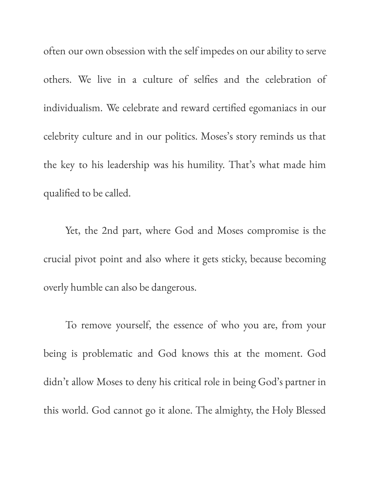often our own obsession with the self impedes on our ability to serve others. We live in a culture of selfies and the celebration of individualism. We celebrate and reward certified egomaniacs in our celebrity culture and in our politics. Moses ' s story reminds us that the key to his leadership was his humility. That' s what made him qualified to be called.

Yet, the 2nd part, where God and Moses compromise is the crucial pivot point and also where it gets sticky, because becoming overly humble can also be dangerous.

To remove yourself, the essence of who you are, from your being is problematic and God knows this at the moment. God didn't allow Moses to deny his critical role in being God' s partner in this world. God cannot go it alone. The almighty, the Holy Blessed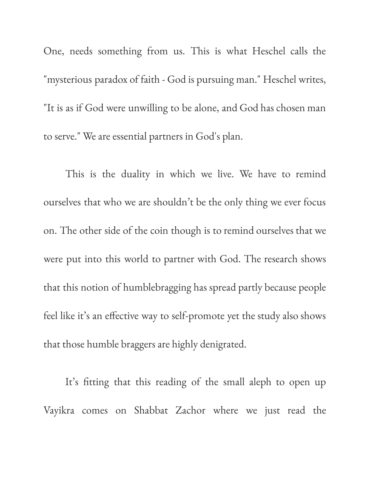One, needs something from us. This is what Heschel calls the "mysterious paradox of faith - God is pursuing man." Heschel writes, "It is as if God were unwilling to be alone, and God has chosen man to serve." We are essential partners in God's plan.

This is the duality in which we live. We have to remind ourselves that who we are shouldn't be the only thing we ever focus on. The other side of the coin though is to remind ourselves that we were put into this world to partner with God. The research shows that this notion of humblebragging has spread partly because people feel like it' s an effective way to self-promote yet the study also shows that those humble braggers are highly denigrated.

It' s fitting that this reading of the small aleph to open up Vayikra comes on Shabbat Zachor where we just read the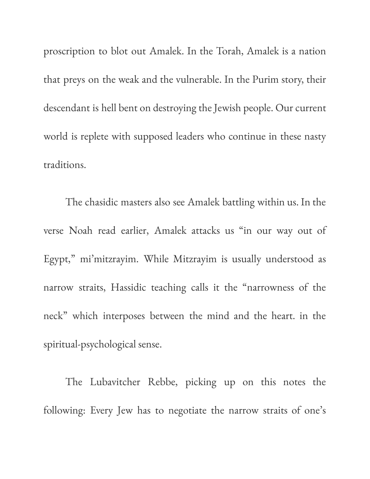proscription to blot out Amalek. In the Torah, Amalek is a nation that preys on the weak and the vulnerable. In the Purim story, their descendant is hell bent on destroying the Jewish people. Our current world is replete with supposed leaders who continue in these nasty traditions.

The chasidic masters also see Amalek battling within us. In the verse Noah read earlier, Amalek attacks us "in our way out of Egypt, " mi'mitzrayim. While Mitzrayim is usually understood as narrow straits, Hassidic teaching calls it the "narrowness of the neck" which interposes between the mind and the heart. in the spiritual-psychological sense.

The Lubavitcher Rebbe, picking up on this notes the following: Every Jew has to negotiate the narrow straits of one ' s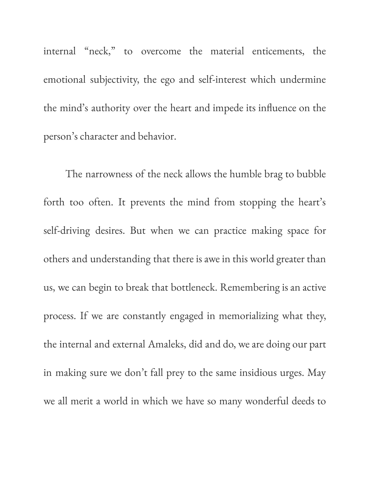internal "neck, " to overcome the material enticements, the emotional subjectivity, the ego and self-interest which undermine the mind' s authority over the heart and impede its influence on the person' s character and behavior.

The narrowness of the neck allows the humble brag to bubble forth too often. It prevents the mind from stopping the heart's self-driving desires. But when we can practice making space for others and understanding that there is awe in this world greater than us, we can begin to break that bottleneck. Remembering is an active process. If we are constantly engaged in memorializing what they, the internal and external Amaleks, did and do, we are doing our part in making sure we don't fall prey to the same insidious urges. May we all merit a world in which we have so many wonderful deeds to